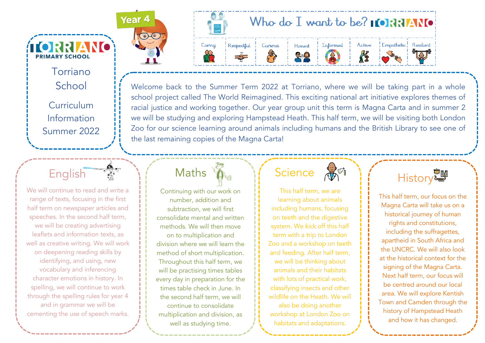Torriano School Curriculum Information Summer 2022

**ÍIORRIANO** 

**PRIMARY SCHOOL** 

English

We will continue to read and write a range of texts, focusing in the first half term on newspaper articles and speeches. In the second half term, we will be creating advertising leaflets and information texts, as well as creative writing. We will work on deepening reading skills by identifying, and using, new vocabulary and inferencing character emotions in history. In spelling, we will continue to work through the spelling rules for year 4 and in grammar we will be cementing the use of speech marks.





Welcome back to the Summer Term 2022 at Torriano, where we will be taking part in a whole school project called The World Reimagined. This exciting national art initiative explores themes of racial justice and working together. Our year group unit this term is Magna Carta and in summer 2 we will be studying and exploring Hampstead Heath. This half term, we will be visiting both London Zoo for our science learning around animals including humans and the British Library to see one of the last remaining copies of the Magna Carta!

## **Maths**

Continuing with our work on number, addition and subtraction, we will first consolidate mental and written methods. We will then move on to multiplication and division where we will learn the method of short multiplication. Throughout this half term, we will be practising times tables every day in preparation for the times table check in June. In the second half term, we will continue to consolidate multiplication and division, as well as studying time.

### $S$ cience  $\mathbb{G}^{\heartsuit}$

This half term, we are learning about animals including humans, focusing on teeth and the digestive system. We kick off this half term with a trip to London Zoo and a workshop on teeth and feeding. After half term, we will be thinking about animals and their habitats with lots of practical work, classifying insects and other wildlife on the Heath. We will also be doing another workshop at London Zoo on habitats and adaptations.



This half term, our focus on the Magna Carta will take us on a historical journey of human rights and constitutions, including the suffragettes, apartheid in South Africa and the UNCRC. We will also look at the historical context for the signing of the Magna Carta. Next half term, our focus will be centred around our local area. We will explore Kentish Town and Camden through the history of Hampstead Heath and how it has changed.